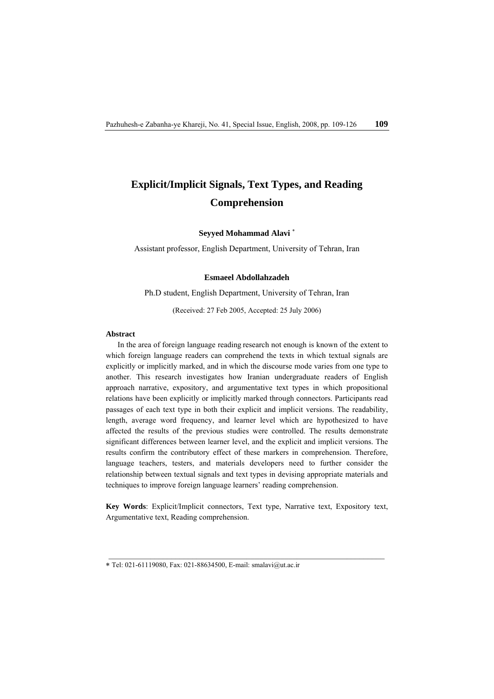# **Explicit/Implicit Signals, Text Types, and Reading Comprehension**

## **Seyyed Mohammad Alavi** <sup>∗</sup>

Assistant professor, English Department, University of Tehran, Iran

## **Esmaeel Abdollahzadeh**

Ph.D student, English Department, University of Tehran, Iran

(Received: 27 Feb 2005, Accepted: 25 July 2006)

## Abstract

In the area of foreign language reading research not enough is known of the extent to which foreign language readers can comprehend the texts in which textual signals are explicitly or implicitly marked, and in which the discourse mode varies from one type to another. This research investigates how Iranian undergraduate readers of English approach narrative, expository, and argumentative text types in which propositional relations have been explicitly or implicitly marked through connectors. Participants read passages of each text type in both their explicit and implicit versions. The readability, length, average word frequency, and learner level which are hypothesized to have affected the results of the previous studies were controlled. The results demonstrate significant differences between learner level, and the explicit and implicit versions. The results confirm the contributory effect of these markers in comprehension. Therefore, language teachers, testers, and materials developers need to further consider the relationship between textual signals and text types in devising appropriate materials and techniques to improve foreign language learners' reading comprehension.

**Key Words**: Explicit/Implicit connectors, Text type, Narrative text, Expository text, Argumentative text, Reading comprehension.

<sup>∗</sup> Tel: 021-61119080, Fax: 021-88634500, E-mail: smalavi@ut.ac.ir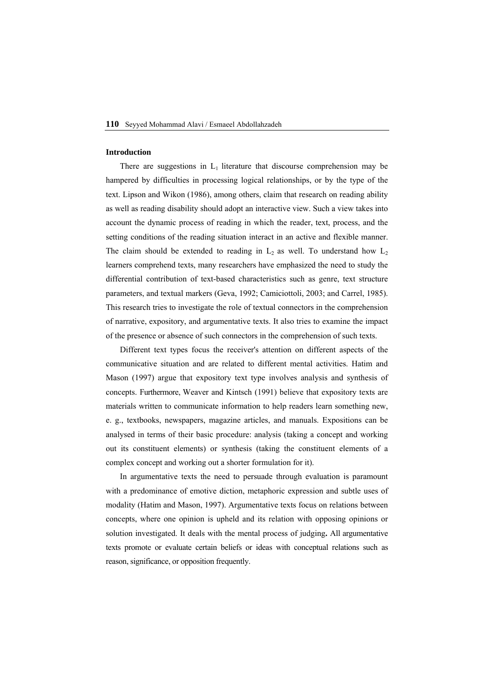#### **Introduction**

There are suggestions in  $L_1$  literature that discourse comprehension may be hampered by difficulties in processing logical relationships, or by the type of the text. Lipson and Wikon (1986), among others, claim that research on reading ability as well as reading disability should adopt an interactive view. Such a view takes into account the dynamic process of reading in which the reader, text, process, and the setting conditions of the reading situation interact in an active and flexible manner. The claim should be extended to reading in  $L_2$  as well. To understand how  $L_2$ learners comprehend texts, many researchers have emphasized the need to study the differential contribution of text-based characteristics such as genre, text structure parameters, and textual markers (Geva, 1992; Camiciottoli, 2003; and Carrel, 1985). This research tries to investigate the role of textual connectors in the comprehension of narrative, expository, and argumentative texts. It also tries to examine the impact of the presence or absence of such connectors in the comprehension of such texts.

Different text types focus the receiver's attention on different aspects of the communicative situation and are related to different mental activities. Hatim and Mason (1997) argue that expository text type involves analysis and synthesis of concepts. Furthermore, Weaver and Kintsch (1991) believe that expository texts are materials written to communicate information to help readers learn something new, e. g., textbooks, newspapers, magazine articles, and manuals. Expositions can be analysed in terms of their basic procedure: analysis (taking a concept and working out its constituent elements) or synthesis (taking the constituent elements of a complex concept and working out a shorter formulation for it).

In argumentative texts the need to persuade through evaluation is paramount with a predominance of emotive diction, metaphoric expression and subtle uses of modality (Hatim and Mason, 1997). Argumentative texts focus on relations between concepts, where one opinion is upheld and its relation with opposing opinions or solution investigated. It deals with the mental process of judging**.** All argumentative texts promote or evaluate certain beliefs or ideas with conceptual relations such as reason, significance, or opposition frequently.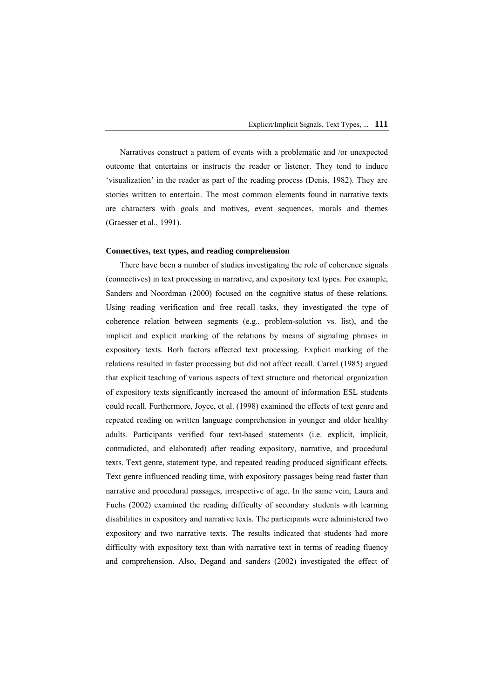Narratives construct a pattern of events with a problematic and /or unexpected outcome that entertains or instructs the reader or listener. They tend to induce 'visualization' in the reader as part of the reading process (Denis, 1982). They are stories written to entertain. The most common elements found in narrative texts are characters with goals and motives, event sequences, morals and themes (Graesser et al., 1991).

#### **Connectives, text types, and reading comprehension**

There have been a number of studies investigating the role of coherence signals (connectives) in text processing in narrative, and expository text types. For example, Sanders and Noordman (2000) focused on the cognitive status of these relations. Using reading verification and free recall tasks, they investigated the type of coherence relation between segments (e.g., problem-solution vs. list), and the implicit and explicit marking of the relations by means of signaling phrases in expository texts. Both factors affected text processing. Explicit marking of the relations resulted in faster processing but did not affect recall. Carrel (1985) argued that explicit teaching of various aspects of text structure and rhetorical organization of expository texts significantly increased the amount of information ESL students could recall. Furthermore, Joyce, et al. (1998) examined the effects of text genre and repeated reading on written language comprehension in younger and older healthy adults. Participants verified four text-based statements (i.e. explicit, implicit, contradicted, and elaborated) after reading expository, narrative, and procedural texts. Text genre, statement type, and repeated reading produced significant effects. Text genre influenced reading time, with expository passages being read faster than narrative and procedural passages, irrespective of age. In the same vein, Laura and Fuchs (2002) examined the reading difficulty of secondary students with learning disabilities in expository and narrative texts. The participants were administered two expository and two narrative texts. The results indicated that students had more difficulty with expository text than with narrative text in terms of reading fluency and comprehension. Also, Degand and sanders (2002) investigated the effect of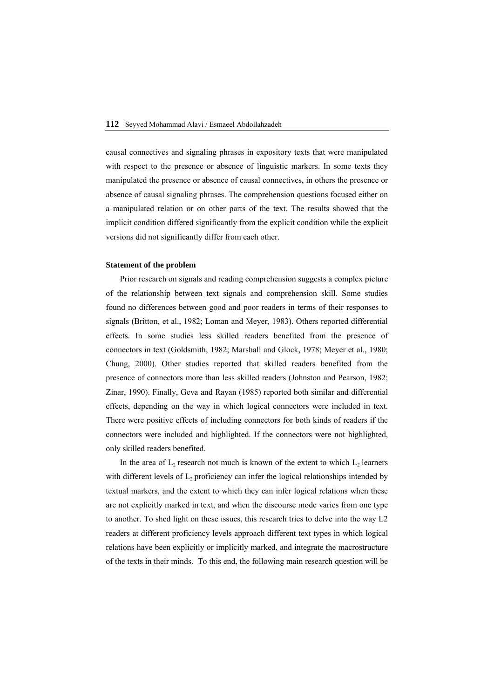causal connectives and signaling phrases in expository texts that were manipulated with respect to the presence or absence of linguistic markers. In some texts they manipulated the presence or absence of causal connectives, in others the presence or absence of causal signaling phrases. The comprehension questions focused either on a manipulated relation or on other parts of the text. The results showed that the implicit condition differed significantly from the explicit condition while the explicit versions did not significantly differ from each other.

#### **Statement of the problem**

Prior research on signals and reading comprehension suggests a complex picture of the relationship between text signals and comprehension skill. Some studies found no differences between good and poor readers in terms of their responses to signals (Britton, et al., 1982; Loman and Meyer, 1983). Others reported differential effects. In some studies less skilled readers benefited from the presence of connectors in text (Goldsmith, 1982; Marshall and Glock, 1978; Meyer et al., 1980; Chung, 2000). Other studies reported that skilled readers benefited from the presence of connectors more than less skilled readers (Johnston and Pearson, 1982; Zinar, 1990). Finally, Geva and Rayan (1985) reported both similar and differential effects, depending on the way in which logical connectors were included in text. There were positive effects of including connectors for both kinds of readers if the connectors were included and highlighted. If the connectors were not highlighted, only skilled readers benefited.

In the area of  $L_2$  research not much is known of the extent to which  $L_2$  learners with different levels of  $L_2$  proficiency can infer the logical relationships intended by textual markers, and the extent to which they can infer logical relations when these are not explicitly marked in text, and when the discourse mode varies from one type to another. To shed light on these issues, this research tries to delve into the way L2 readers at different proficiency levels approach different text types in which logical relations have been explicitly or implicitly marked, and integrate the macrostructure of the texts in their minds. To this end, the following main research question will be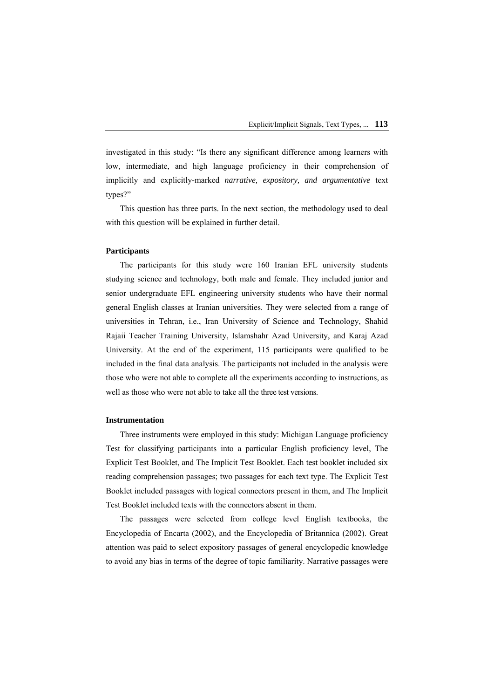investigated in this study: "Is there any significant difference among learners with low, intermediate, and high language proficiency in their comprehension of implicitly and explicitly-marked *narrative, expository, and argumentative* text types?"

This question has three parts. In the next section, the methodology used to deal with this question will be explained in further detail.

#### **Participants**

The participants for this study were 160 Iranian EFL university students studying science and technology, both male and female. They included junior and senior undergraduate EFL engineering university students who have their normal general English classes at Iranian universities. They were selected from a range of universities in Tehran, i.e., Iran University of Science and Technology, Shahid Rajaii Teacher Training University, Islamshahr Azad University, and Karaj Azad University. At the end of the experiment, 115 participants were qualified to be included in the final data analysis. The participants not included in the analysis were those who were not able to complete all the experiments according to instructions, as well as those who were not able to take all the three test versions.

#### **Instrumentation**

Three instruments were employed in this study: Michigan Language proficiency Test for classifying participants into a particular English proficiency level, The Explicit Test Booklet, and The Implicit Test Booklet. Each test booklet included six reading comprehension passages; two passages for each text type. The Explicit Test Booklet included passages with logical connectors present in them, and The Implicit Test Booklet included texts with the connectors absent in them.

The passages were selected from college level English textbooks, the Encyclopedia of Encarta (2002), and the Encyclopedia of Britannica (2002). Great attention was paid to select expository passages of general encyclopedic knowledge to avoid any bias in terms of the degree of topic familiarity. Narrative passages were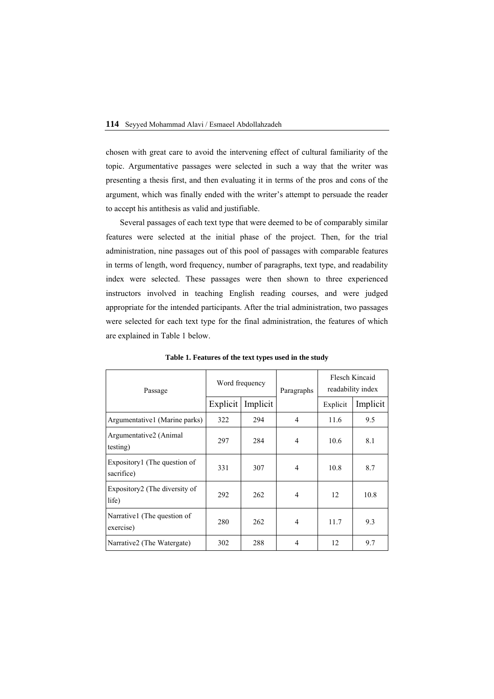chosen with great care to avoid the intervening effect of cultural familiarity of the topic. Argumentative passages were selected in such a way that the writer was presenting a thesis first, and then evaluating it in terms of the pros and cons of the argument, which was finally ended with the writer's attempt to persuade the reader to accept his antithesis as valid and justifiable.

Several passages of each text type that were deemed to be of comparably similar features were selected at the initial phase of the project. Then, for the trial administration, nine passages out of this pool of passages with comparable features in terms of length, word frequency, number of paragraphs, text type, and readability index were selected. These passages were then shown to three experienced instructors involved in teaching English reading courses, and were judged appropriate for the intended participants. After the trial administration, two passages were selected for each text type for the final administration, the features of which are explained in Table 1 below.

| Passage                                    | Word frequency |          | Paragraphs     | Flesch Kincaid<br>readability index |          |
|--------------------------------------------|----------------|----------|----------------|-------------------------------------|----------|
|                                            | Explicit       | Implicit |                | Explicit                            | Implicit |
| Argumentative 1 (Marine parks)             | 322            | 294      | 4              | 11.6                                | 9.5      |
| Argumentative2 (Animal<br>testing)         | 297            | 284      | 4              | 10.6                                | 8.1      |
| Expository1 (The question of<br>sacrifice) | 331            | 307      | 4              | 10.8                                | 8.7      |
| Expository2 (The diversity of<br>life)     | 292            | 262      | $\overline{4}$ | 12                                  | 10.8     |
| Narrative 1 (The question of<br>exercise)  | 280            | 262      | 4              | 11.7                                | 9.3      |
| Narrative2 (The Watergate)                 | 302            | 288      | 4              | 12                                  | 9.7      |

**Table 1. Features of the text types used in the study**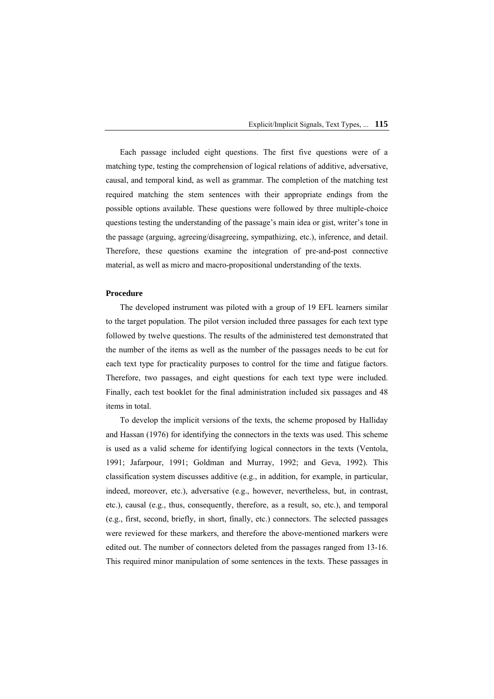Each passage included eight questions. The first five questions were of a matching type, testing the comprehension of logical relations of additive, adversative, causal, and temporal kind, as well as grammar. The completion of the matching test required matching the stem sentences with their appropriate endings from the possible options available. These questions were followed by three multiple-choice questions testing the understanding of the passage's main idea or gist, writer's tone in the passage (arguing, agreeing/disagreeing, sympathizing, etc.), inference, and detail. Therefore, these questions examine the integration of pre-and-post connective material, as well as micro and macro-propositional understanding of the texts.

#### **Procedure**

The developed instrument was piloted with a group of 19 EFL learners similar to the target population. The pilot version included three passages for each text type followed by twelve questions. The results of the administered test demonstrated that the number of the items as well as the number of the passages needs to be cut for each text type for practicality purposes to control for the time and fatigue factors. Therefore, two passages, and eight questions for each text type were included. Finally, each test booklet for the final administration included six passages and 48 items in total.

To develop the implicit versions of the texts, the scheme proposed by Halliday and Hassan (1976) for identifying the connectors in the texts was used. This scheme is used as a valid scheme for identifying logical connectors in the texts (Ventola, 1991; Jafarpour, 1991; Goldman and Murray, 1992; and Geva, 1992). This classification system discusses additive (e.g., in addition, for example, in particular, indeed, moreover, etc.), adversative (e.g., however, nevertheless, but, in contrast, etc.), causal (e.g., thus, consequently, therefore, as a result, so, etc.), and temporal (e.g., first, second, briefly, in short, finally, etc.) connectors. The selected passages were reviewed for these markers, and therefore the above-mentioned markers were edited out. The number of connectors deleted from the passages ranged from 13-16. This required minor manipulation of some sentences in the texts. These passages in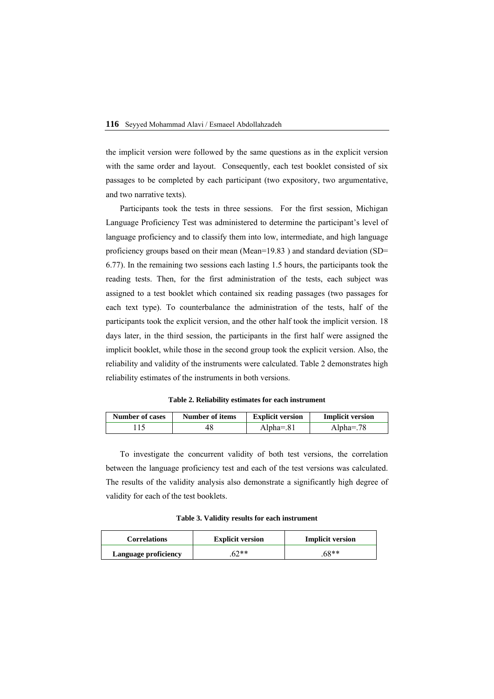the implicit version were followed by the same questions as in the explicit version with the same order and layout. Consequently, each test booklet consisted of six passages to be completed by each participant (two expository, two argumentative, and two narrative texts).

Participants took the tests in three sessions. For the first session, Michigan Language Proficiency Test was administered to determine the participant's level of language proficiency and to classify them into low, intermediate, and high language proficiency groups based on their mean (Mean=19.83 ) and standard deviation (SD= 6.77). In the remaining two sessions each lasting 1.5 hours, the participants took the reading tests. Then, for the first administration of the tests, each subject was assigned to a test booklet which contained six reading passages (two passages for each text type). To counterbalance the administration of the tests, half of the participants took the explicit version, and the other half took the implicit version. 18 days later, in the third session, the participants in the first half were assigned the implicit booklet, while those in the second group took the explicit version. Also, the reliability and validity of the instruments were calculated. Table 2 demonstrates high reliability estimates of the instruments in both versions.

**Table 2. Reliability estimates for each instrument** 

| <b>Number of cases</b> | Number of items | <b>Explicit version</b> | <b>Implicit version</b> |
|------------------------|-----------------|-------------------------|-------------------------|
|                        |                 | Alpha= $.81$            | Alpha= $.78$            |

To investigate the concurrent validity of both test versions, the correlation between the language proficiency test and each of the test versions was calculated. The results of the validity analysis also demonstrate a significantly high degree of validity for each of the test booklets.

**Table 3. Validity results for each instrument** 

| <b>Correlations</b>  | <b>Explicit version</b> | <b>Implicit version</b> |
|----------------------|-------------------------|-------------------------|
| Language proficiency | $62**$                  | 68**                    |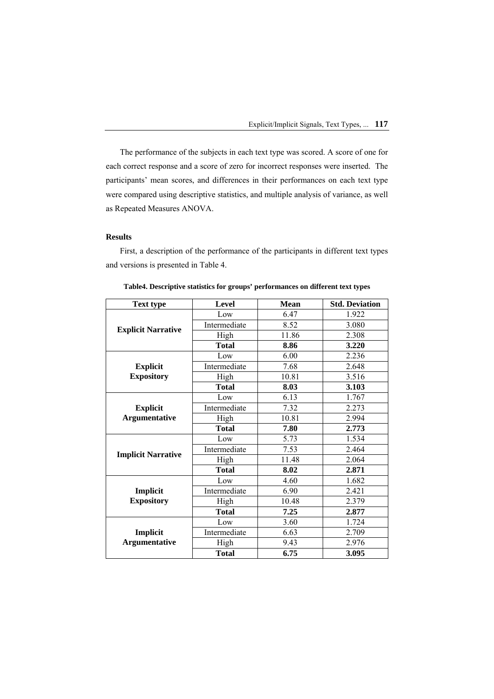The performance of the subjects in each text type was scored. A score of one for each correct response and a score of zero for incorrect responses were inserted. The participants' mean scores, and differences in their performances on each text type were compared using descriptive statistics, and multiple analysis of variance, as well as Repeated Measures ANOVA.

## **Results**

First, a description of the performance of the participants in different text types and versions is presented in Table 4.

| <b>Text type</b>                 | Level        | <b>Mean</b> | <b>Std. Deviation</b> |
|----------------------------------|--------------|-------------|-----------------------|
| <b>Explicit Narrative</b>        | Low          | 6.47        | 1.922                 |
|                                  | Intermediate | 8.52        | 3.080                 |
|                                  | High         | 11.86       | 2.308                 |
|                                  | <b>Total</b> | 8.86        | 3.220                 |
|                                  | Low          | 6.00        | 2.236                 |
| <b>Explicit</b>                  | Intermediate | 7.68        | 2.648                 |
| <b>Expository</b>                | High         | 10.81       | 3.516                 |
|                                  | <b>Total</b> | 8.03        | 3.103                 |
|                                  | Low          | 6.13        | 1.767                 |
| <b>Explicit</b>                  | Intermediate | 7.32        | 2.273                 |
| <b>Argumentative</b>             | High         | 10.81       | 2.994                 |
|                                  | <b>Total</b> | 7.80        | 2.773                 |
|                                  | Low          | 5.73        | 1.534                 |
| <b>Implicit Narrative</b>        | Intermediate | 7.53        | 2.464                 |
|                                  | High         | 11.48       | 2.064                 |
|                                  | <b>Total</b> | 8.02        | 2.871                 |
|                                  | Low          | 4.60        | 1.682                 |
| Implicit                         | Intermediate | 6.90        | 2.421                 |
| <b>Expository</b>                | High         | 10.48       | 2.379                 |
|                                  | <b>Total</b> | 7.25        | 2.877                 |
|                                  | Low          | 3.60        | 1.724                 |
| Implicit<br><b>Argumentative</b> | Intermediate | 6.63        | 2.709                 |
|                                  | High         | 9.43        | 2.976                 |
|                                  | <b>Total</b> | 6.75        | 3.095                 |

**Table4. Descriptive statistics for groups' performances on different text types**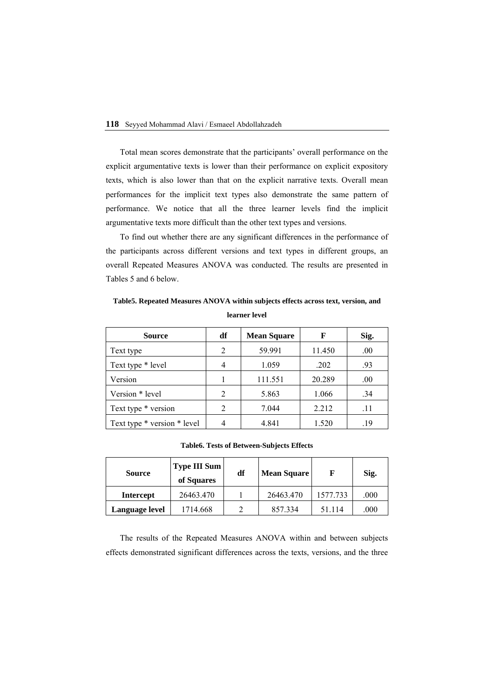### **118** Seyyed Mohammad Alavi / Esmaeel Abdollahzadeh

Total mean scores demonstrate that the participants' overall performance on the explicit argumentative texts is lower than their performance on explicit expository texts, which is also lower than that on the explicit narrative texts. Overall mean performances for the implicit text types also demonstrate the same pattern of performance. We notice that all the three learner levels find the implicit argumentative texts more difficult than the other text types and versions.

To find out whether there are any significant differences in the performance of the participants across different versions and text types in different groups, an overall Repeated Measures ANOVA was conducted. The results are presented in Tables 5 and 6 below.

## **Table5. Repeated Measures ANOVA within subjects effects across text, version, and learner level**

| <b>Source</b>               | df             | <b>Mean Square</b> | F      | Sig. |
|-----------------------------|----------------|--------------------|--------|------|
| Text type                   | $\overline{c}$ | 59.991             | 11.450 | .00  |
| Text type * level           |                | 1.059              | .202   | .93  |
| Version                     |                | 111.551            | 20.289 | .00. |
| Version * level             | $\mathfrak{D}$ | 5.863              | 1.066  | .34  |
| Text type * version         | $\overline{c}$ | 7.044              | 2.212  | .11  |
| Text type * version * level |                | 4.841              | 1.520  | .19  |

## **Table6. Tests of Between-Subjects Effects**

| <b>Source</b>    | <b>Type III Sum</b><br>of Squares | df | <b>Mean Square</b> | F        | Sig.     |
|------------------|-----------------------------------|----|--------------------|----------|----------|
| <b>Intercept</b> | 26463.470                         |    | 26463.470          | 1577.733 | $.000\,$ |
| Language level   | 1714.668                          |    | 857.334            | 51.114   | .000     |

The results of the Repeated Measures ANOVA within and between subjects effects demonstrated significant differences across the texts, versions, and the three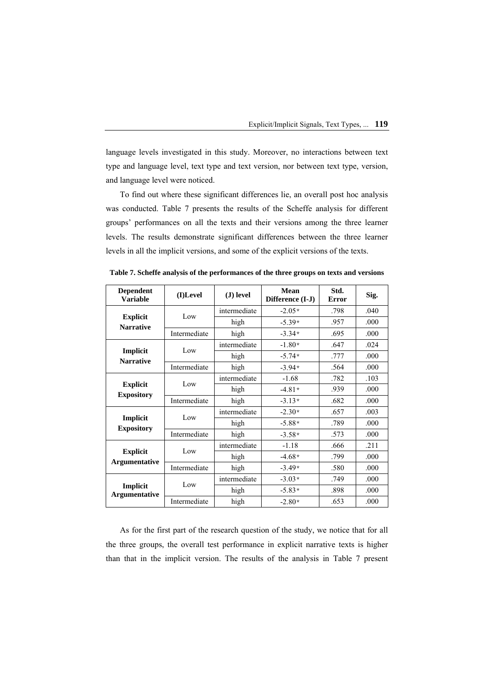language levels investigated in this study. Moreover, no interactions between text type and language level, text type and text version, nor between text type, version, and language level were noticed.

To find out where these significant differences lie, an overall post hoc analysis was conducted. Table 7 presents the results of the Scheffe analysis for different groups' performances on all the texts and their versions among the three learner levels. The results demonstrate significant differences between the three learner levels in all the implicit versions, and some of the explicit versions of the texts.

| <b>Dependent</b><br><b>Variable</b>  | (I)Level     | (J) level    | Mean<br>Difference (I-J) | Std.<br>Error | Sig. |
|--------------------------------------|--------------|--------------|--------------------------|---------------|------|
| <b>Explicit</b><br><b>Narrative</b>  | Low          | intermediate | $-2.05*$                 | .798          | .040 |
|                                      |              | high         | $-5.39*$                 | .957          | .000 |
|                                      | Intermediate | high         | $-3.34*$                 | .695          | .000 |
|                                      | Low          | intermediate | $-1.80*$                 | .647          | .024 |
| Implicit<br><b>Narrative</b>         |              | high         | $-5.74*$                 | .777          | .000 |
|                                      | Intermediate | high         | $-3.94*$                 | .564          | .000 |
|                                      | Low          | intermediate | $-1.68$                  | .782          | .103 |
| <b>Explicit</b><br><b>Expository</b> |              | high         | $-4.81*$                 | .939          | .000 |
|                                      | Intermediate | high         | $-3.13*$                 | .682          | .000 |
|                                      | Low          | intermediate | $-2.30*$                 | .657          | .003 |
| Implicit<br><b>Expository</b>        |              | high         | $-5.88*$                 | .789          | .000 |
|                                      | Intermediate | high         | $-3.58*$                 | .573          | .000 |
| <b>Explicit</b><br>Argumentative     | Low          | intermediate | $-1.18$                  | .666          | .211 |
|                                      |              | high         | $-4.68*$                 | .799          | .000 |
|                                      | Intermediate | high         | $-3.49*$                 | .580          | .000 |
| Implicit<br>Argumentative            | Low          | intermediate | $-3.03*$                 | .749          | .000 |
|                                      |              | high         | $-5.83*$                 | .898          | .000 |
|                                      | Intermediate | high         | $-2.80*$                 | .653          | .000 |

**Table 7. Scheffe analysis of the performances of the three groups on texts and versions** 

As for the first part of the research question of the study, we notice that for all the three groups, the overall test performance in explicit narrative texts is higher than that in the implicit version. The results of the analysis in Table 7 present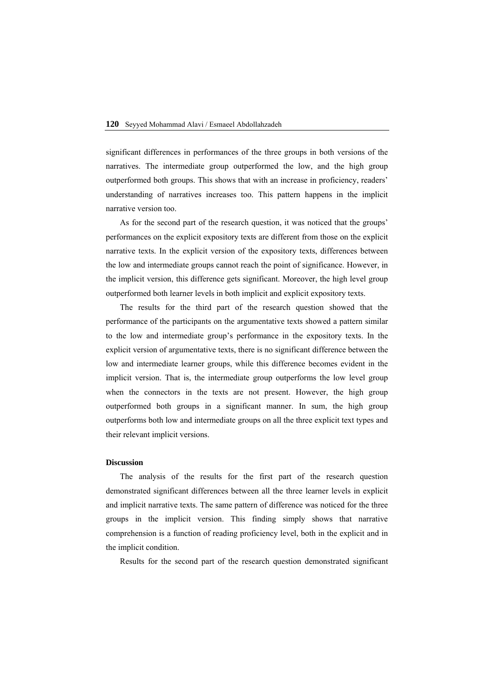significant differences in performances of the three groups in both versions of the narratives. The intermediate group outperformed the low, and the high group outperformed both groups. This shows that with an increase in proficiency, readers' understanding of narratives increases too. This pattern happens in the implicit narrative version too.

As for the second part of the research question, it was noticed that the groups' performances on the explicit expository texts are different from those on the explicit narrative texts. In the explicit version of the expository texts, differences between the low and intermediate groups cannot reach the point of significance. However, in the implicit version, this difference gets significant. Moreover, the high level group outperformed both learner levels in both implicit and explicit expository texts.

The results for the third part of the research question showed that the performance of the participants on the argumentative texts showed a pattern similar to the low and intermediate group's performance in the expository texts. In the explicit version of argumentative texts, there is no significant difference between the low and intermediate learner groups, while this difference becomes evident in the implicit version. That is, the intermediate group outperforms the low level group when the connectors in the texts are not present. However, the high group outperformed both groups in a significant manner. In sum, the high group outperforms both low and intermediate groups on all the three explicit text types and their relevant implicit versions.

#### **Discussion**

The analysis of the results for the first part of the research question demonstrated significant differences between all the three learner levels in explicit and implicit narrative texts. The same pattern of difference was noticed for the three groups in the implicit version. This finding simply shows that narrative comprehension is a function of reading proficiency level, both in the explicit and in the implicit condition.

Results for the second part of the research question demonstrated significant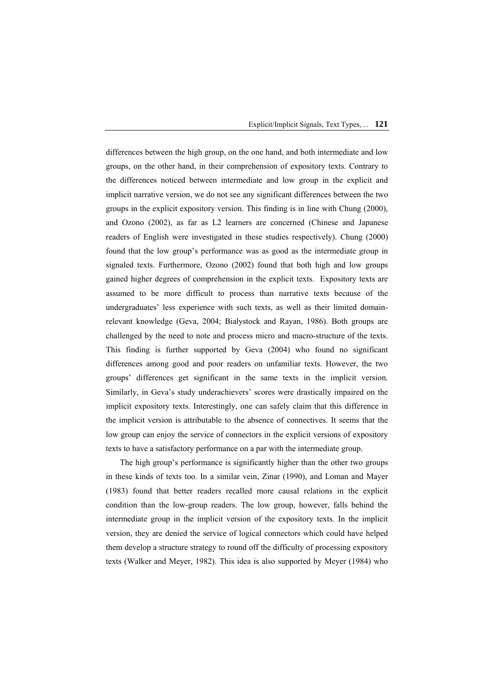differences between the high group, on the one hand, and both intermediate and low groups, on the other hand, in their comprehension of expository texts. Contrary to the differences noticed between intermediate and low group in the explicit and implicit narrative version, we do not see any significant differences between the two groups in the explicit expository version. This finding is in line with Chung (2000), and Ozono (2002), as far as L2 learners are concerned (Chinese and Japanese readers of English were investigated in these studies respectively). Chung (2000) found that the low group's performance was as good as the intermediate group in signaled texts. Furthermore, Ozono (2002) found that both high and low groups gained higher degrees of comprehension in the explicit texts. Expository texts are assumed to be more difficult to process than narrative texts because of the undergraduates' less experience with such texts, as well as their limited domainrelevant knowledge (Geva, 2004; Bialystock and Rayan, 1986). Both groups are challenged by the need to note and process micro and macro-structure of the texts. This finding is further supported by Geva (2004) who found no significant differences among good and poor readers on unfamiliar texts. However, the two groups' differences get significant in the same texts in the implicit version. Similarly, in Geva's study underachievers' scores were drastically impaired on the implicit expository texts. Interestingly, one can safely claim that this difference in the implicit version is attributable to the absence of connectives. It seems that the low group can enjoy the service of connectors in the explicit versions of expository texts to have a satisfactory performance on a par with the intermediate group.

The high group's performance is significantly higher than the other two groups in these kinds of texts too. In a similar vein, Zinar (1990), and Loman and Mayer (1983) found that better readers recalled more causal relations in the explicit condition than the low-group readers. The low group, however, falls behind the intermediate group in the implicit version of the expository texts. In the implicit version, they are denied the service of logical connectors which could have helped them develop a structure strategy to round off the difficulty of processing expository texts (Walker and Meyer, 1982). This idea is also supported by Meyer (1984) who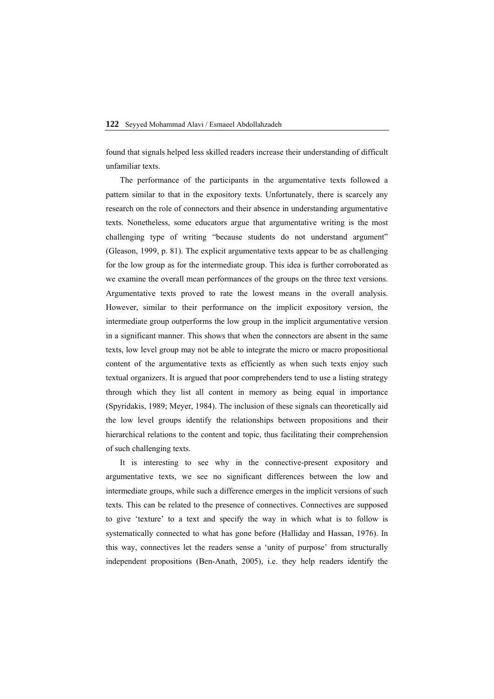found that signals helped less skilled readers increase their understanding of difficult unfamiliar texts.

The performance of the participants in the argumentative texts followed a pattern similar to that in the expository texts. Unfortunately, there is scarcely any research on the role of connectors and their absence in understanding argumentative texts. Nonetheless, some educators argue that argumentative writing is the most challenging type of writing "because students do not understand argument" (Gleason, 1999, p. 81). The explicit argumentative texts appear to be as challenging for the low group as for the intermediate group. This idea is further corroborated as we examine the overall mean performances of the groups on the three text versions. Argumentative texts proved to rate the lowest means in the overall analysis. However, similar to their performance on the implicit expository version, the intermediate group outperforms the low group in the implicit argumentative version in a significant manner. This shows that when the connectors are absent in the same texts, low level group may not be able to integrate the micro or macro propositional content of the argumentative texts as efficiently as when such texts enjoy such textual organizers. It is argued that poor comprehenders tend to use a listing strategy through which they list all content in memory as being equal in importance (Spyridakis, 1989; Meyer, 1984). The inclusion of these signals can theoretically aid the low level groups identify the relationships between propositions and their hierarchical relations to the content and topic, thus facilitating their comprehension of such challenging texts.

It is interesting to see why in the connective-present expository and argumentative texts, we see no significant differences between the low and intermediate groups, while such a difference emerges in the implicit versions of such texts. This can be related to the presence of connectives. Connectives are supposed to give 'texture' to a text and specify the way in which what is to follow is systematically connected to what has gone before (Halliday and Hassan, 1976). In this way, connectives let the readers sense a 'unity of purpose' from structurally independent propositions (Ben-Anath, 2005), i.e. they help readers identify the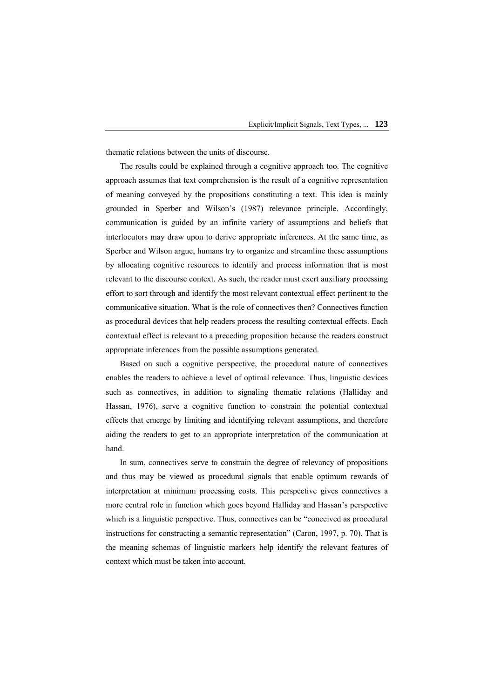thematic relations between the units of discourse.

The results could be explained through a cognitive approach too. The cognitive approach assumes that text comprehension is the result of a cognitive representation of meaning conveyed by the propositions constituting a text. This idea is mainly grounded in Sperber and Wilson's (1987) relevance principle. Accordingly, communication is guided by an infinite variety of assumptions and beliefs that interlocutors may draw upon to derive appropriate inferences. At the same time, as Sperber and Wilson argue, humans try to organize and streamline these assumptions by allocating cognitive resources to identify and process information that is most relevant to the discourse context. As such, the reader must exert auxiliary processing effort to sort through and identify the most relevant contextual effect pertinent to the communicative situation. What is the role of connectives then? Connectives function as procedural devices that help readers process the resulting contextual effects. Each contextual effect is relevant to a preceding proposition because the readers construct appropriate inferences from the possible assumptions generated.

Based on such a cognitive perspective, the procedural nature of connectives enables the readers to achieve a level of optimal relevance. Thus, linguistic devices such as connectives, in addition to signaling thematic relations (Halliday and Hassan, 1976), serve a cognitive function to constrain the potential contextual effects that emerge by limiting and identifying relevant assumptions, and therefore aiding the readers to get to an appropriate interpretation of the communication at hand.

In sum, connectives serve to constrain the degree of relevancy of propositions and thus may be viewed as procedural signals that enable optimum rewards of interpretation at minimum processing costs. This perspective gives connectives a more central role in function which goes beyond Halliday and Hassan's perspective which is a linguistic perspective. Thus, connectives can be "conceived as procedural instructions for constructing a semantic representation" (Caron, 1997, p. 70). That is the meaning schemas of linguistic markers help identify the relevant features of context which must be taken into account.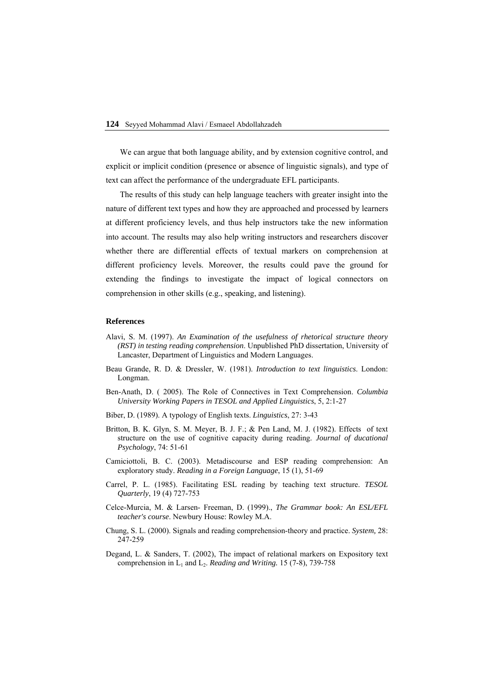We can argue that both language ability, and by extension cognitive control, and explicit or implicit condition (presence or absence of linguistic signals), and type of text can affect the performance of the undergraduate EFL participants.

The results of this study can help language teachers with greater insight into the nature of different text types and how they are approached and processed by learners at different proficiency levels, and thus help instructors take the new information into account. The results may also help writing instructors and researchers discover whether there are differential effects of textual markers on comprehension at different proficiency levels. Moreover, the results could pave the ground for extending the findings to investigate the impact of logical connectors on comprehension in other skills (e.g., speaking, and listening).

## **References**

- Alavi, S. M. (1997). *An Examination of the usefulness of rhetorical structure theory (RST) in testing reading comprehension*. Unpublished PhD dissertation, University of Lancaster, Department of Linguistics and Modern Languages.
- Beau Grande, R. D. & Dressler, W. (1981). *Introduction to text linguistics*. London: Longman.
- Ben-Anath, D. ( 2005). The Role of Connectives in Text Comprehension. *Columbia University Working Papers in TESOL and Applied Linguistics*, 5, 2:1-27
- Biber, D. (1989). A typology of English texts. *Linguistics*, 27: 3-43
- Britton, B. K. Glyn, S. M. Meyer, B. J. F.; & Pen Land, M. J. (1982). Effects of text structure on the use of cognitive capacity during reading. *Journal of ducational Psychology*, 74: 51-61
- Camiciottoli, B. C. (2003). Metadiscourse and ESP reading comprehension: An exploratory study. *Reading in a Foreign Language*, 15 (1), 51-69
- Carrel, P. L. (1985). Facilitating ESL reading by teaching text structure. *TESOL Quarterly*, 19 (4) 727-753
- Celce-Murcia, M. & Larsen- Freeman, D. (1999)., *The Grammar book: An ESL/EFL teacher's course*. Newbury House: Rowley M.A.
- Chung, S. L. (2000). Signals and reading comprehension-theory and practice. *System,* 28: 247-259
- Degand, L. & Sanders, T. (2002), The impact of relational markers on Expository text comprehension in  $L_1$  and  $L_2$ . *Reading and Writing.* 15 (7-8), 739-758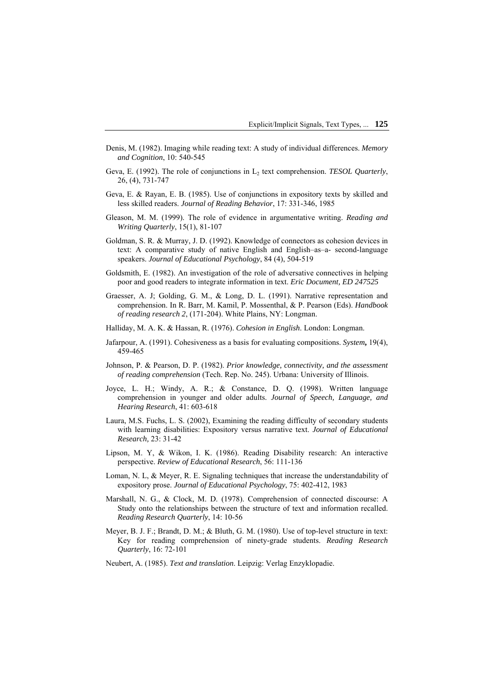- Denis, M. (1982). Imaging while reading text: A study of individual differences. *Memory and Cognition*, 10: 540-545
- Geva, E. (1992). The role of conjunctions in L<sub>2</sub> text comprehension. *TESOL Quarterly*, 26, (4), 731-747
- Geva, E. & Rayan, E. B. (1985). Use of conjunctions in expository texts by skilled and less skilled readers. *Journal of Reading Behavior*, 17: 331-346, 1985
- Gleason, M. M. (1999). The role of evidence in argumentative writing. *Reading and Writing Quarterly*, 15(1), 81-107
- Goldman, S. R. & Murray, J. D. (1992). Knowledge of connectors as cohesion devices in text: A comparative study of native English and English–as–a- second-language speakers. *Journal of Educational Psychology*, 84 (4), 504-519
- Goldsmith, E. (1982). An investigation of the role of adversative connectives in helping poor and good readers to integrate information in text. *Eric Document, ED 247525*
- Graesser, A. J; Golding, G. M., & Long, D. L. (1991). Narrative representation and comprehension. In R. Barr, M. Kamil, P. Mossenthal, & P. Pearson (Eds). *Handbook of reading research 2*, (171-204). White Plains, NY: Longman.
- Halliday, M. A. K. & Hassan, R. (1976). *Cohesion in English*. London: Longman.
- Jafarpour, A. (1991). Cohesiveness as a basis for evaluating compositions. *System***,** 19(4), 459-465
- Johnson, P. & Pearson, D. P. (1982). *Prior knowledge, connectivity, and the assessment of reading comprehension* (Tech. Rep. No. 245). Urbana: University of Illinois.
- Joyce, L. H.; Windy, A. R.; & Constance, D. Q. (1998). Written language comprehension in younger and older adults. *Journal of Speech, Language, and Hearing Research*, 41: 603-618
- Laura, M.S. Fuchs, L. S. (2002), Examining the reading difficulty of secondary students with learning disabilities: Expository versus narrative text. *Journal of Educational Research,* 23: 31-42
- Lipson, M. Y, & Wikon, I. K. (1986). Reading Disability research: An interactive perspective. *Review of Educational Research*, 56: 111-136
- Loman, N. L, & Meyer, R. E. Signaling techniques that increase the understandability of expository prose. *Journal of Educational Psychology*, 75: 402-412, 1983
- Marshall, N. G., & Clock, M. D. (1978). Comprehension of connected discourse: A Study onto the relationships between the structure of text and information recalled. *Reading Research Quarterly*, 14: 10-56
- Meyer, B. J. F.; Brandt, D. M.; & Bluth, G. M. (1980). Use of top-level structure in text: Key for reading comprehension of ninety-grade students. *Reading Research Quarterly*, 16: 72-101
- Neubert, A. (1985). *Text and translation*. Leipzig: Verlag Enzyklopadie.